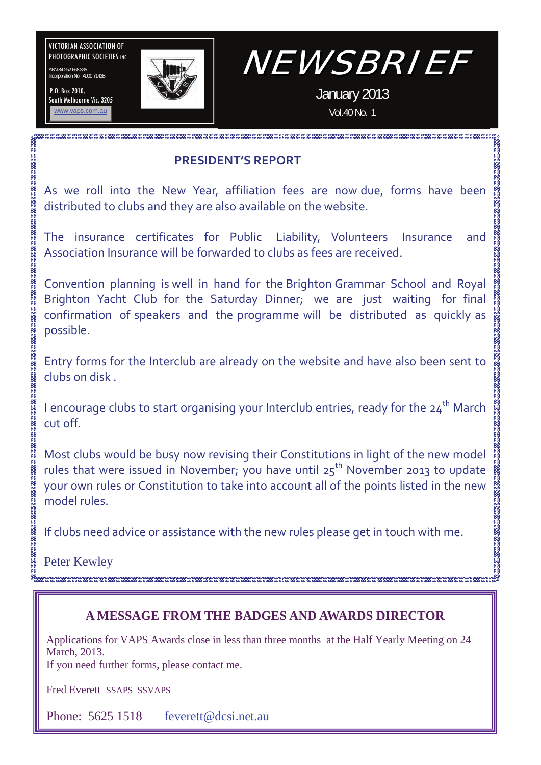VICTORIAN ASSOCIATION OF PHOTOGRAPHIC SOCIETIES INC.

ABN 84 252 668 335 Incorporation No.: A000 7142B

P.O. Box 2010, South Melbourne Vic. 3205



# NEWSBRIEF

January 2013 Vol.40 No. 1

### **PRESIDENT'S REPORT**

As we roll into the New Year, affiliation fees are now due, forms have been distributed to clubs and they are also available on the website.

The insurance certificates for Public Liability, Volunteers Insurance and Association Insurance will be forwarded to clubs as fees are received.

Convention planning is well in hand for the Brighton Grammar School and Royal Brighton Yacht Club for the Saturday Dinner; we are just waiting for final confirmation of speakers and the programme will be distributed as quickly as possible.

Entry forms for the Interclub are already on the website and have also been sent to clubs on disk .

I encourage clubs to start organising your Interclub entries, ready for the  $24<sup>th</sup>$  March cut off.

Most clubs would be busy now revising their Constitutions in light of the new model rules that were issued in November; you have until  $25<sup>th</sup>$  November 2013 to update your own rules or Constitution to take into account all of the points listed in the new model rules.

If clubs need advice or assistance with the new rules please get in touch with me.

Peter Kewley

### **A MESSAGE FROM THE BADGES AND AWARDS DIRECTOR**

Applications for VAPS Awards close in less than three months at the Half Yearly Meeting on 24 March, 2013.

If you need further forms, please contact me.

Fred Everett SSAPS SSVAPS

Phone: 5625 1518 [feverett@dcsi.net.au](mailto:feverett@dcsi.net.au)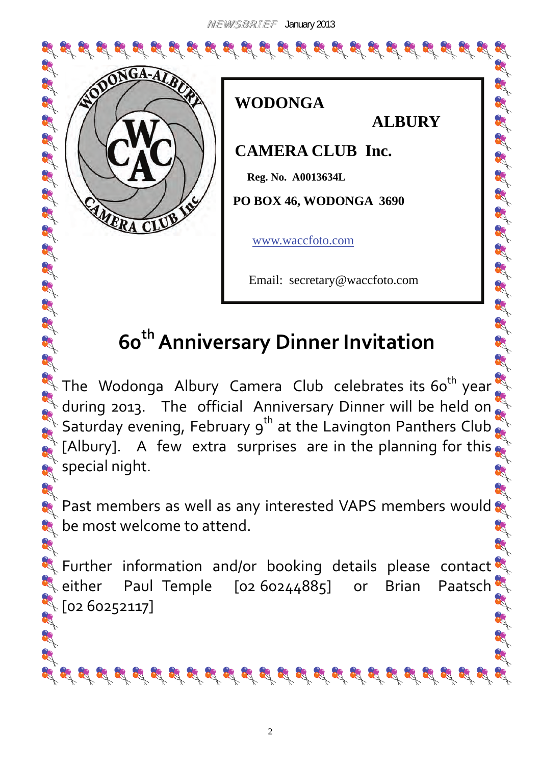NEWSBRIEF January 2013

 **WODONGA** 





33

 **ALBURY** 

 **CAMERA CLUB Inc.** 

 **Reg. No. A0013634L** 

 **PO BOX 46, WODONGA 3690** 

[www.waccfoto.com](http://www.waccfoto.com)

Email: secretary@waccfoto.com

# **60thAnniversary Dinner Invitation**

The Wodonga Albury Camera Club celebrates its 60<sup>th</sup> year  $\frac{1}{2}$  during 2013. The official Anniversary Dinner will be held on  $\frac{1}{2}$ during 2013. The official Anniversary Dinner will be held on  $\mathbb{R}$  [Albury]. A few extra surprises are in the planning for this  $\mathbf{s}^*$  special night.

A F Past members as well as any interested VAPS members would  $\mathbf{S}$ **t** be most welcome to attend. ag.

R Further information and/or booking details please contact either Paul Temple [02 60244885] or Brian Paatsch  $\sqrt[3]{}$  [02 60252117] R. A R R

स् सिंधि प्रति प्रति प्रति प्रति प्रति प्रति प्रति प्रति प्रति प्रति प्रति प्रति प्रति प्रति प्रति प्रति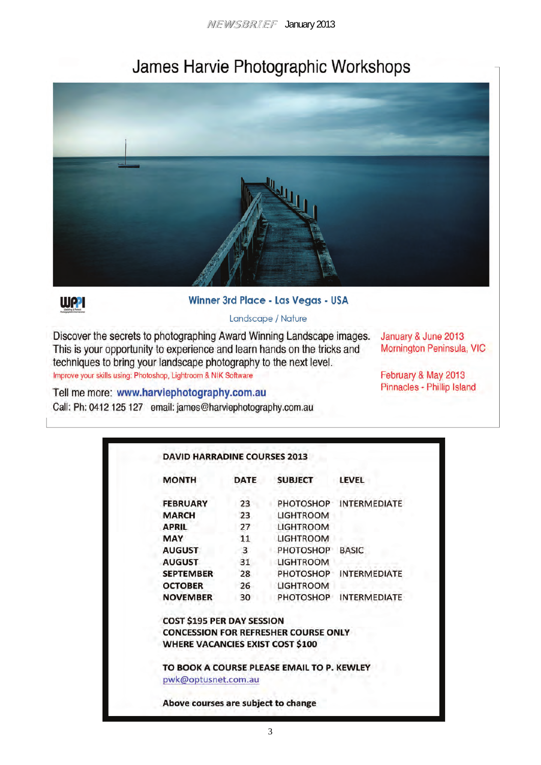# James Harvie Photographic Workshops





#### Winner 3rd Place - Las Vegas - USA

#### Landscape / Nature

Discover the secrets to photographing Award Winning Landscape images. This is your opportunity to experience and learn hands on the tricks and techniques to bring your landscape photography to the next level. Improve your skills using: Photoshop, Lightroom & NIK Software

January & June 2013 Mornington Peninsula, VIC

February & May 2013 Pinnacles - Phillip Island

Tell me more: www.harviephotography.com.au Call: Ph: 0412 125 127 email: james@harviephotography.com.au

| <b>MONTH</b>                            | <b>DATE</b>  | <b>SUBJECT</b>                              | <b>LEVEL</b>           |
|-----------------------------------------|--------------|---------------------------------------------|------------------------|
| <b>FEBRUARY</b>                         | 23           |                                             | PHOTOSHOP INTERMEDIATE |
| <b>MARCH</b>                            | 23           | <b>LIGHTROOM</b>                            |                        |
| <b>APRIL</b>                            | 27           | <b>LIGHTROOM</b>                            |                        |
| <b>MAY</b>                              | 11           | <b>LIGHTROOM</b>                            |                        |
| <b>AUGUST</b>                           | $\mathbf{3}$ | PHOTOSHOP BASIC                             |                        |
| <b>AUGUST</b>                           | 31           | <b>LIGHTROOM</b>                            |                        |
| <b>SEPTEMBER</b>                        | 28           | PHOTOSHOP                                   | <b>INTERMEDIATE</b>    |
| <b>OCTOBER</b>                          | $26^{\circ}$ | <b>LIGHTROOM</b>                            |                        |
| <b>NOVEMBER</b>                         | 30           | PHOTOSHOP                                   | INTERMEDIATE           |
| COST \$195 PER DAY SESSION              |              |                                             |                        |
|                                         |              | <b>CONCESSION FOR REFRESHER COURSE ONLY</b> |                        |
| <b>WHERE VACANCIES EXIST COST \$100</b> |              |                                             |                        |
|                                         |              | TO BOOK A COURSE PLEASE EMAIL TO P. KEWLEY  |                        |
| pwk@optusnet.com.au                     |              |                                             |                        |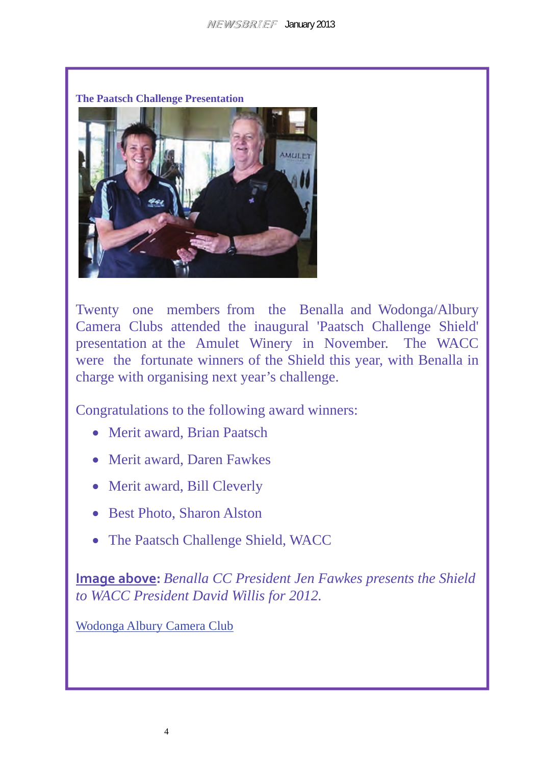

Twenty one members from the Benalla and Wodonga/Albury Camera Clubs attended the inaugural 'Paatsch Challenge Shield' presentation at the Amulet Winery in November. The WACC were the fortunate winners of the Shield this year, with Benalla in charge with organising next year's challenge.

Congratulations to the following award winners:

- Merit award, Brian Paatsch
- Merit award, Daren Fawkes
- Merit award, Bill Cleverly
- Best Photo, Sharon Alston
- The Paatsch Challenge Shield, WACC

**Image above:** *Benalla CC President Jen Fawkes presents the Shield to WACC President David Willis for 2012.*

[Wodonga Albury Camera Club](http://www.waccfoto.com/index.html#top)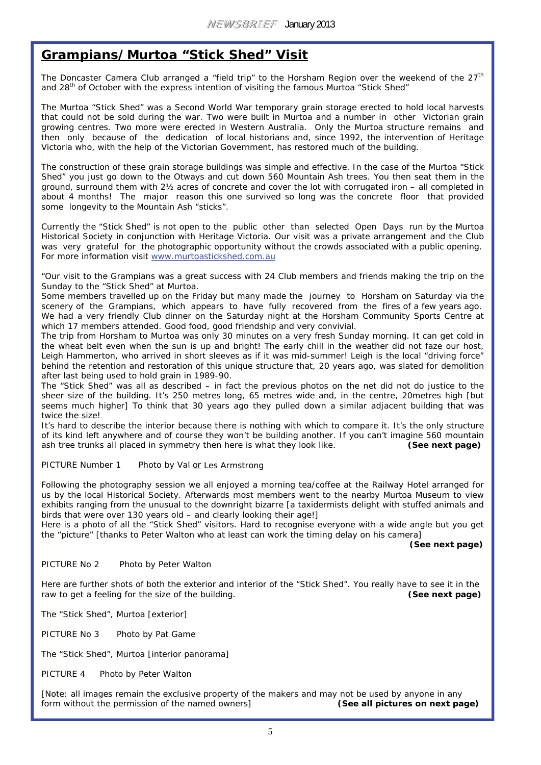#### **Grampians/Murtoa "Stick Shed" Visit**

The Doncaster Camera Club arranged a "field trip" to the Horsham Region over the weekend of the  $27<sup>th</sup>$ and 28<sup>th</sup> of October with the express intention of visiting the famous Murtoa "Stick Shed"

The Murtoa "Stick Shed" was a Second World War temporary grain storage erected to hold local harvests that could not be sold during the war. Two were built in Murtoa and a number in other Victorian grain growing centres. Two more were erected in Western Australia. Only the Murtoa structure remains and then only because of the dedication of local historians and, since 1992, the intervention of Heritage Victoria who, with the help of the Victorian Government, has restored much of the building.

The construction of these grain storage buildings was simple and effective. In the case of the Murtoa "Stick Shed" you just go down to the Otways and cut down 560 Mountain Ash trees. You then seat them in the ground, surround them with 2½ acres of concrete and cover the lot with corrugated iron – all completed in about 4 months! The major reason this one survived so long was the concrete floor that provided some longevity to the Mountain Ash "sticks".

Currently the "Stick Shed" is not open to the public other than selected Open Days run by the Murtoa Historical Society in conjunction with Heritage Victoria. Our visit was a private arrangement and the Club was very grateful for the photographic opportunity without the crowds associated with a public opening. For more information visit [www.murtoastickshed.com.au](http://www.murtoastickshed.com.au)

"Our visit to the Grampians was a great success with 24 Club members and friends making the trip on the Sunday to the "Stick Shed" at Murtoa.

Some members travelled up on the Friday but many made the journey to Horsham on Saturday via the scenery of the Grampians, which appears to have fully recovered from the fires of a few vears ago. We had a very friendly Club dinner on the Saturday night at the Horsham Community Sports Centre at which 17 members attended. Good food, good friendship and very convivial.

The trip from Horsham to Murtoa was only 30 minutes on a very fresh Sunday morning. It can get cold in the wheat belt even when the sun is up and bright! The early chill in the weather did not faze our host, Leigh Hammerton, who arrived in short sleeves as if it was mid-summer! Leigh is the local "driving force" behind the retention and restoration of this unique structure that, 20 years ago, was slated for demolition after last being used to hold grain in 1989-90.

The "Stick Shed" was all as described – in fact the previous photos on the net did not do justice to the sheer size of the building. It's 250 metres long, 65 metres wide and, in the centre, 20metres high [but seems much higher] To think that 30 years ago they pulled down a similar adjacent building that was twice the size!

It's hard to describe the interior because there is nothing with which to compare it. It's the only structure of its kind left anywhere and of course they won't be building another. If you can't imagine 560 mountain ash tree trunks all placed in symmetry then here is what they look like. **(See next page)** 

PICTURE Number 1 Photo by Val *or* Les Armstrong

Following the photography session we all enjoyed a morning tea/coffee at the Railway Hotel arranged for us by the local Historical Society. Afterwards most members went to the nearby Murtoa Museum to view exhibits ranging from the unusual to the downright bizarre [a taxidermists delight with stuffed animals and birds that were over 130 years old – and clearly looking their age!]

Here is a photo of all the "Stick Shed" visitors. Hard to recognise everyone with a wide angle but you get the "picture" [thanks to Peter Walton who at least can work the timing delay on his camera]

 **(See next page)**

#### PICTURE No 2 Photo by Peter Walton

Here are further shots of both the exterior and interior of the "Stick Shed". You really have to see it in the raw to get a feeling for the size of the building. **(See next page)** 

The "Stick Shed", Murtoa [exterior]

PICTURE No 3 Photo by Pat Game

The "Stick Shed", Murtoa [interior panorama]

PICTURE 4 Photo by Peter Walton

[Note: all images remain the exclusive property of the makers and may not be used by anyone in any form without the permission of the named owners] **(See all pictures on next page)**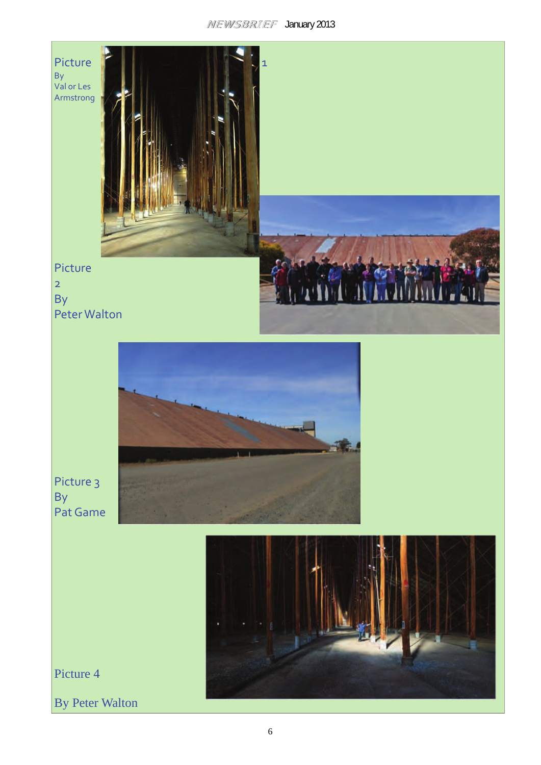#### NEWSBRIEF January 2013

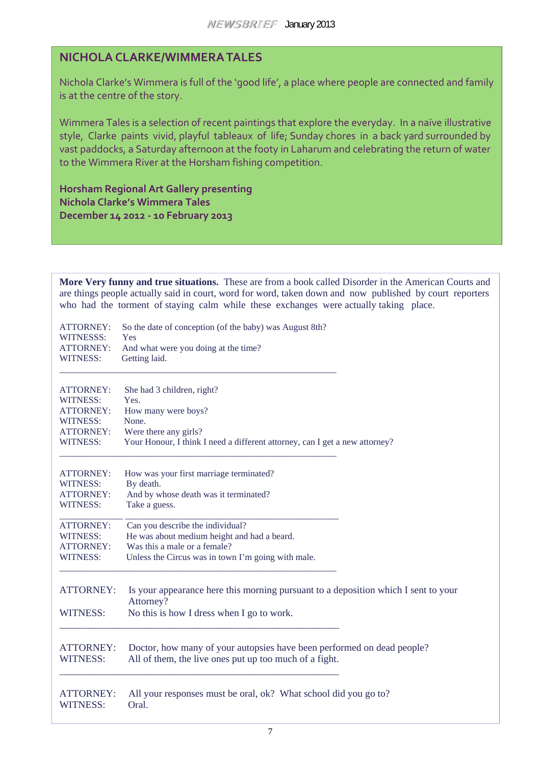#### **NICHOLA CLARKE/WIMMERATALES**

Nichola Clarke's Wimmera is full of the 'good life', a place where people are connected and family is at the centre of the story.

Wimmera Tales is a selection of recent paintings that explore the everyday. In a naïve illustrative style, Clarke paints vivid, playful tableaux of life; Sunday chores in a back yard surrounded by vast paddocks, a Saturday afternoon at the footy in Laharum and celebrating the return of water to the Wimmera River at the Horsham fishing competition.

**Horsham Regional Art Gallery presenting Nichola Clarke's Wimmera Tales December 14 2012 ‐ 10 February 2013**

**More Very funny and true situations.** These are from a book called Disorder in the American Courts and are things people actually said in court, word for word, taken down and now published by court reporters who had the torment of staying calm while these exchanges were actually taking place.

| <b>ATTORNEY:</b>                    | So the date of conception (of the baby) was August 8th?                                                                                      |
|-------------------------------------|----------------------------------------------------------------------------------------------------------------------------------------------|
| WITNESSS:                           | Yes                                                                                                                                          |
| <b>ATTORNEY:</b>                    | And what were you doing at the time?                                                                                                         |
| <b>WITNESS:</b>                     | Getting laid.                                                                                                                                |
| <b>ATTORNEY:</b>                    | She had 3 children, right?                                                                                                                   |
| <b>WITNESS:</b>                     | Yes.                                                                                                                                         |
| <b>ATTORNEY:</b>                    | How many were boys?                                                                                                                          |
| WITNESS:                            | None.                                                                                                                                        |
| <b>ATTORNEY:</b>                    | Were there any girls?                                                                                                                        |
| <b>WITNESS:</b>                     | Your Honour, I think I need a different attorney, can I get a new attorney?                                                                  |
| ATTORNEY:                           | How was your first marriage terminated?                                                                                                      |
| <b>WITNESS:</b>                     | By death.                                                                                                                                    |
| <b>ATTORNEY:</b>                    | And by whose death was it terminated?                                                                                                        |
| WITNESS:                            | Take a guess.                                                                                                                                |
| <b>ATTORNEY:</b>                    | Can you describe the individual?                                                                                                             |
| <b>WITNESS:</b>                     | He was about medium height and had a beard.                                                                                                  |
| <b>ATTORNEY:</b>                    | Was this a male or a female?                                                                                                                 |
| <b>WITNESS:</b>                     | Unless the Circus was in town I'm going with male.                                                                                           |
| <b>ATTORNEY:</b><br><b>WITNESS:</b> | Is your appearance here this morning pursuant to a deposition which I sent to your<br>Attorney?<br>No this is how I dress when I go to work. |
| <b>ATTORNEY:</b>                    | Doctor, how many of your autopsies have been performed on dead people?                                                                       |
| <b>WITNESS:</b>                     | All of them, the live ones put up too much of a fight.                                                                                       |
| <b>ATTORNEY:</b>                    | All your responses must be oral, ok? What school did you go to?                                                                              |
| <b>WITNESS:</b>                     | Oral.                                                                                                                                        |